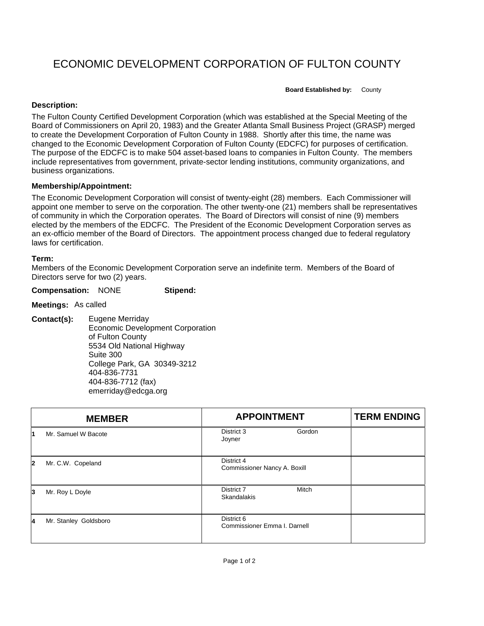# ECONOMIC DEVELOPMENT CORPORATION OF FULTON COUNTY

**Board Established by:** County

#### **Description:**

The Fulton County Certified Development Corporation (which was established at the Special Meeting of the Board of Commissioners on April 20, 1983) and the Greater Atlanta Small Business Project (GRASP) merged to create the Development Corporation of Fulton County in 1988. Shortly after this time, the name was changed to the Economic Development Corporation of Fulton County (EDCFC) for purposes of certification. The purpose of the EDCFC is to make 504 asset-based loans to companies in Fulton County. The members include representatives from government, private-sector lending institutions, community organizations, and business organizations.

## **Membership/Appointment:**

The Economic Development Corporation will consist of twenty-eight (28) members. Each Commissioner will appoint one member to serve on the corporation. The other twenty-one (21) members shall be representatives of community in which the Corporation operates. The Board of Directors will consist of nine (9) members elected by the members of the EDCFC. The President of the Economic Development Corporation serves as an ex-officio member of the Board of Directors. The appointment process changed due to federal regulatory laws for certification.

## **Term:**

Members of the Economic Development Corporation serve an indefinite term. Members of the Board of Directors serve for two (2) years.

#### **Compensation:** NONE **Stipend:**

**Meetings:** As called

**Contact(s):** Eugene Merriday Economic Development Corporation of Fulton County 5534 Old National Highway Suite 300 College Park, GA 30349-3212 404-836-7731 404-836-7712 (fax) emerriday@edcga.org

| <b>MEMBER</b> |                       | <b>APPOINTMENT</b>                         | <b>TERM ENDING</b> |
|---------------|-----------------------|--------------------------------------------|--------------------|
| 1             | Mr. Samuel W Bacote   | Gordon<br>District 3<br>Joyner             |                    |
| 12            | Mr. C.W. Copeland     | District 4<br>Commissioner Nancy A. Boxill |                    |
| 3             | Mr. Roy L Doyle       | <b>Mitch</b><br>District 7<br>Skandalakis  |                    |
| 14            | Mr. Stanley Goldsboro | District 6<br>Commissioner Emma I. Darnell |                    |